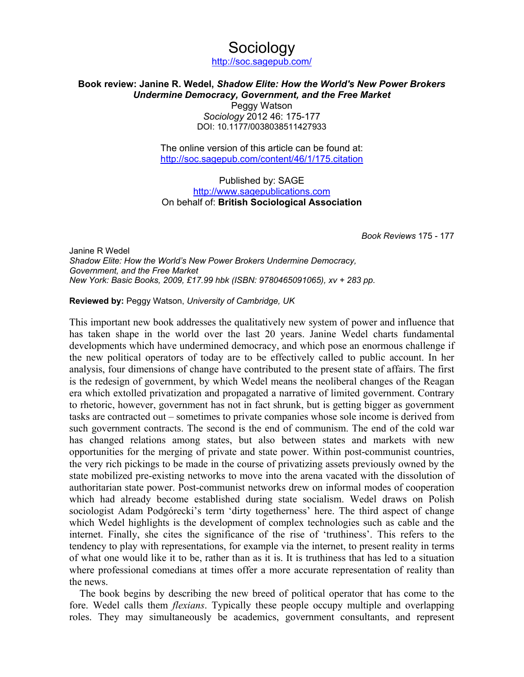## Sociology

<http://soc.sagepub.com/>

## **Book review: Janine R. Wedel,** *Shadow Elite: How the World's New Power Brokers Undermine Democracy, Government, and the Free Market*  Peggy Watson *Sociology* 2012 46: 175-177 DOI: 10.1177/0038038511427933

The online version of this article can be found at: <http://soc.sagepub.com/content/46/1/175.citation>

## Published by: SAGE [http://www.sagepublications.com](http://www.sagepublications.com/) On behalf of: **British Sociological Association**

*Book Reviews* 175 - 177

Janine R Wedel *Shadow Elite: How the World's New Power Brokers Undermine Democracy, Government, and the Free Market New York: Basic Books, 2009, £17.99 hbk (ISBN: 9780465091065), xv + 283 pp.*

**Reviewed by:** Peggy Watson, *University of Cambridge, UK*

This important new book addresses the qualitatively new system of power and influence that has taken shape in the world over the last 20 years. Janine Wedel charts fundamental developments which have undermined democracy, and which pose an enormous challenge if the new political operators of today are to be effectively called to public account. In her analysis, four dimensions of change have contributed to the present state of affairs. The first is the redesign of government, by which Wedel means the neoliberal changes of the Reagan era which extolled privatization and propagated a narrative of limited government. Contrary to rhetoric, however, government has not in fact shrunk, but is getting bigger as government tasks are contracted out – sometimes to private companies whose sole income is derived from such government contracts. The second is the end of communism. The end of the cold war has changed relations among states, but also between states and markets with new opportunities for the merging of private and state power. Within post-communist countries, the very rich pickings to be made in the course of privatizing assets previously owned by the state mobilized pre-existing networks to move into the arena vacated with the dissolution of authoritarian state power. Post-communist networks drew on informal modes of cooperation which had already become established during state socialism. Wedel draws on Polish sociologist Adam Podgórecki's term 'dirty togetherness' here. The third aspect of change which Wedel highlights is the development of complex technologies such as cable and the internet. Finally, she cites the significance of the rise of 'truthiness'. This refers to the tendency to play with representations, for example via the internet, to present reality in terms of what one would like it to be, rather than as it is. It is truthiness that has led to a situation where professional comedians at times offer a more accurate representation of reality than the news.

The book begins by describing the new breed of political operator that has come to the fore. Wedel calls them *flexians*. Typically these people occupy multiple and overlapping roles. They may simultaneously be academics, government consultants, and represent